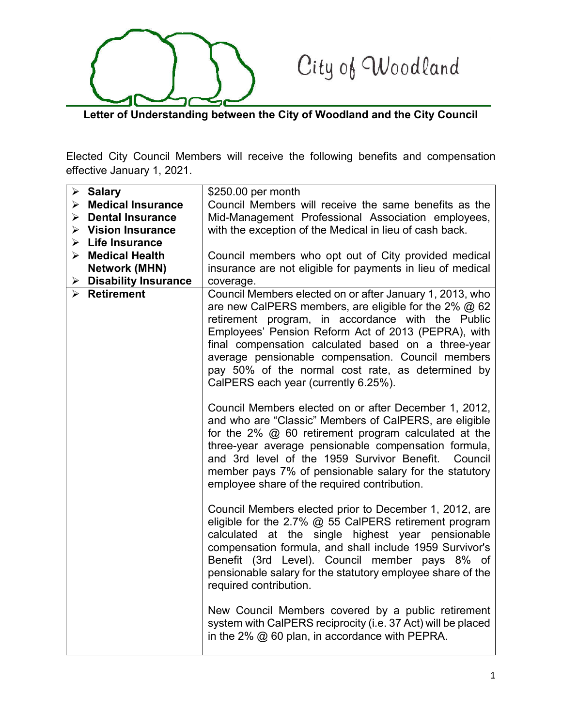## City of Woodland

**Letter of Understanding between the City of Woodland and the City Council**

Elected City Council Members will receive the following benefits and compensation effective January 1, 2021.

|   | $\triangleright$ Salary            | \$250.00 per month                                                                                                                                                                                                                                                                                                                                                                                                                      |
|---|------------------------------------|-----------------------------------------------------------------------------------------------------------------------------------------------------------------------------------------------------------------------------------------------------------------------------------------------------------------------------------------------------------------------------------------------------------------------------------------|
|   | $\triangleright$ Medical Insurance | Council Members will receive the same benefits as the                                                                                                                                                                                                                                                                                                                                                                                   |
|   | $\triangleright$ Dental Insurance  | Mid-Management Professional Association employees,                                                                                                                                                                                                                                                                                                                                                                                      |
|   | $\triangleright$ Vision Insurance  | with the exception of the Medical in lieu of cash back.                                                                                                                                                                                                                                                                                                                                                                                 |
|   | $\triangleright$ Life Insurance    |                                                                                                                                                                                                                                                                                                                                                                                                                                         |
|   | $\triangleright$ Medical Health    | Council members who opt out of City provided medical                                                                                                                                                                                                                                                                                                                                                                                    |
|   | <b>Network (MHN)</b>               | insurance are not eligible for payments in lieu of medical                                                                                                                                                                                                                                                                                                                                                                              |
| ≻ | <b>Disability Insurance</b>        | coverage.                                                                                                                                                                                                                                                                                                                                                                                                                               |
|   | $\triangleright$ Retirement        | Council Members elected on or after January 1, 2013, who<br>are new CalPERS members, are eligible for the 2% $@62$<br>retirement program, in accordance with the Public<br>Employees' Pension Reform Act of 2013 (PEPRA), with<br>final compensation calculated based on a three-year<br>average pensionable compensation. Council members<br>pay 50% of the normal cost rate, as determined by<br>CalPERS each year (currently 6.25%). |
|   |                                    | Council Members elected on or after December 1, 2012,<br>and who are "Classic" Members of CalPERS, are eligible<br>for the $2\%$ @ 60 retirement program calculated at the<br>three-year average pensionable compensation formula,<br>and 3rd level of the 1959 Survivor Benefit.<br>Council<br>member pays 7% of pensionable salary for the statutory<br>employee share of the required contribution.                                  |
|   |                                    | Council Members elected prior to December 1, 2012, are<br>eligible for the 2.7% $@$ 55 CalPERS retirement program<br>calculated at the single highest year pensionable<br>compensation formula, and shall include 1959 Survivor's<br>Benefit (3rd Level). Council member pays 8% of<br>pensionable salary for the statutory employee share of the<br>required contribution.                                                             |
|   |                                    | New Council Members covered by a public retirement<br>system with CalPERS reciprocity (i.e. 37 Act) will be placed<br>in the 2% $@$ 60 plan, in accordance with PEPRA.                                                                                                                                                                                                                                                                  |